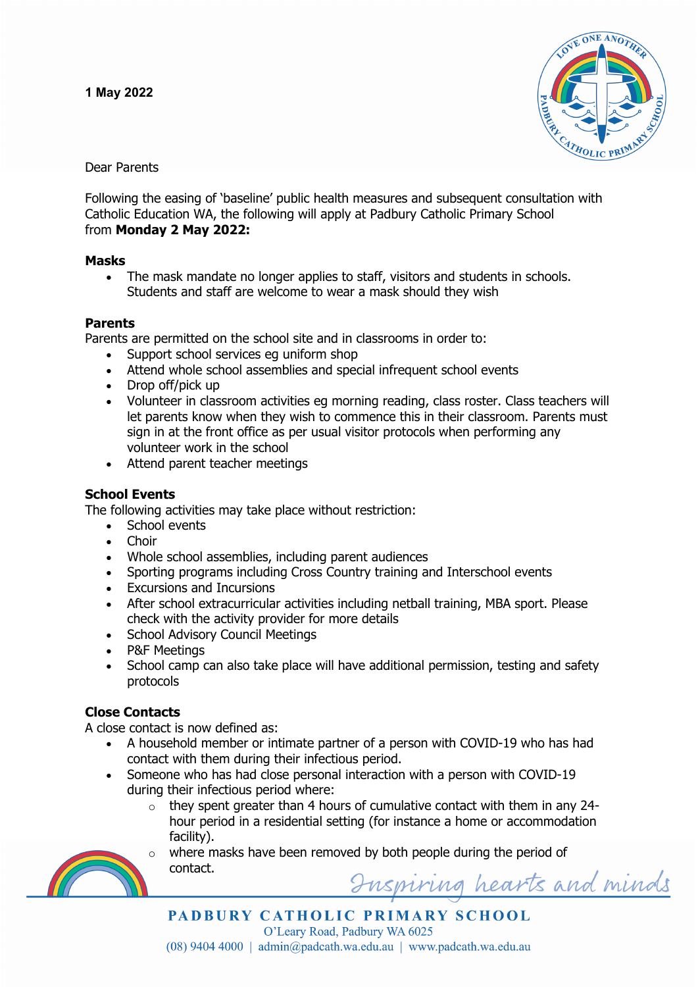

Dear Parents

Following the easing of 'baseline' public health measures and subsequent consultation with Catholic Education WA, the following will apply at Padbury Catholic Primary School from **Monday 2 May 2022:**

#### **Masks**

• The mask mandate no longer applies to staff, visitors and students in schools. Students and staff are welcome to wear a mask should they wish

## **Parents**

Parents are permitted on the school site and in classrooms in order to:

- Support school services eg uniform shop
- Attend whole school assemblies and special infrequent school events
- Drop off/pick up
- Volunteer in classroom activities eg morning reading, class roster. Class teachers will let parents know when they wish to commence this in their classroom. Parents must sign in at the front office as per usual visitor protocols when performing any volunteer work in the school
- Attend parent teacher meetings

# **School Events**

The following activities may take place without restriction:

- School events
	- **Choir**
	- Whole school assemblies, including parent audiences
- Sporting programs including Cross Country training and Interschool events
- Excursions and Incursions
- After school extracurricular activities including netball training, MBA sport. Please check with the activity provider for more details
- School Advisory Council Meetings
- P&F Meetings
- School camp can also take place will have additional permission, testing and safety protocols

# **Close Contacts**

A close contact is now defined as:

- A household member or intimate partner of a person with COVID-19 who has had contact with them during their infectious period.
- Someone who has had close personal interaction with a person with COVID-19 during their infectious period where:
	- $\circ$  they spent greater than 4 hours of cumulative contact with them in any 24hour period in a residential setting (for instance a home or accommodation facility).



where masks have been removed by both people during the period of contact.Inspiring hearts and minds

PADBURY CATHOLIC PRIMARY SCHOOL O'Leary Road, Padbury WA 6025  $(08)$  9404 4000 | admin@padcath.wa.edu.au | www.padcath.wa.edu.au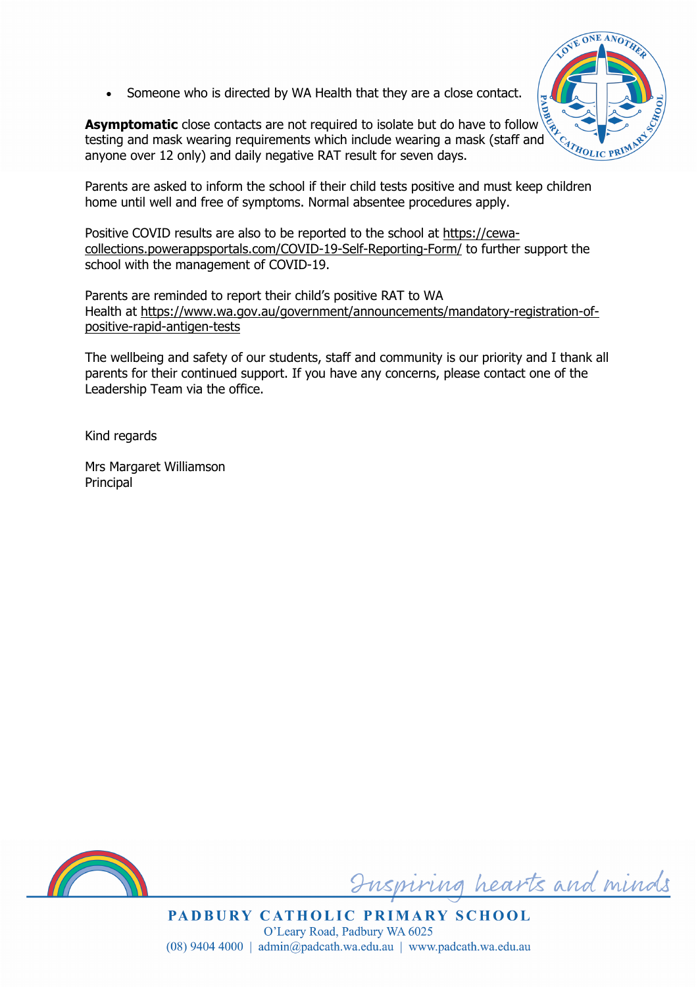Someone who is directed by WA Health that they are a close contact.

**Asymptomatic** close contacts are not required to isolate but do have to follow testing and mask wearing requirements which include wearing a mask (staff and anyone over 12 only) and daily negative RAT result for seven days.



Parents are asked to inform the school if their child tests positive and must keep children home until well and free of symptoms. Normal absentee procedures apply.

Positive COVID results are also to be reported to the school at https://cewacollections.powerappsportals.com/COVID-19-Self-Reporting-Form/ to further support the school with the management of COVID-19.

Parents are reminded to report their child's positive RAT to WA Health at https://www.wa.gov.au/government/announcements/mandatory-registration-ofpositive-rapid-antigen-tests

The wellbeing and safety of our students, staff and community is our priority and I thank all parents for their continued support. If you have any concerns, please contact one of the Leadership Team via the office.

Kind regards

Mrs Margaret Williamson Principal



Inspiring hearts and minds

PADBURY CATHOLIC PRIMARY SCHOOL O'Leary Road, Padbury WA 6025  $(08)$  9404 4000 | admin@padcath.wa.edu.au | www.padcath.wa.edu.au